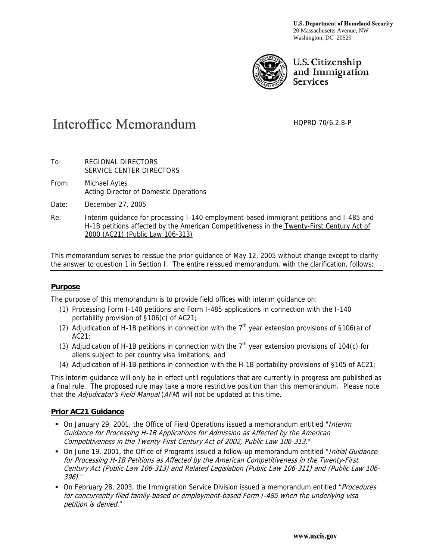**U.S. Department of Homeland Security** 20 Massachusetts Avenue, NW Washington, DC 20529



## U.S. Citizenship and Immigration **Services**

# **Interoffice Memorandum**

HQPRD 70/6.2.8-P

- To: REGIONAL DIRECTORS SERVICE CENTER DIRECTORS
- From: Michael Aytes Acting Director of Domestic Operations
- Date: December 27, 2005
- Re: Interim guidance for processing I-140 employment-based immigrant petitions and I-485 and H-1B petitions affected by the American Competitiveness in the Twenty-First Century Act of 2000 (AC21) (Public Law 106-313)

This memorandum serves to reissue the prior guidance of May 12, 2005 without change except to clarify the answer to question 1 in Section I. The entire reissued memorandum, with the clarification, follows:

## **Purpose**

The purpose of this memorandum is to provide field offices with interim guidance on:

- (1) Processing Form I-140 petitions and Form I-485 applications in connection with the I-140 portability provision of §106(c) of AC21;
- (2) Adjudication of H-1B petitions in connection with the  $7<sup>th</sup>$  year extension provisions of §106(a) of AC21;
- (3) Adjudication of H-1B petitions in connection with the  $7<sup>th</sup>$  year extension provisions of 104(c) for aliens subject to per country visa limitations; and
- (4) Adjudication of H-1B petitions in connection with the H-1B portability provisions of §105 of AC21;

This interim guidance will only be in effect until regulations that are currently in progress are published as a final rule. The proposed rule may take a more restrictive position than this memorandum. Please note that the Adjudicator's Field Manual (AFM) will not be updated at this time.

## **Prior AC21 Guidance**

- On January 29, 2001, the Office of Field Operations issued a memorandum entitled "*Interim* Guidance for Processing H-1B Applications for Admission as Affected by the American Competitiveness in the Twenty-First Century Act of 2002, Public Law 106-313."
- On June 19, 2001, the Office of Programs issued a follow-up memorandum entitled "*Initial Guidance*" for Processing H-1B Petitions as Affected by the American Competitiveness in the Twenty-First Century Act (Public Law 106-313) and Related Legislation (Public Law 106-311) and (Public Law 106- 396)."
- On February 28, 2003, the Immigration Service Division issued a memorandum entitled "Procedures" for concurrently filed family-based or employment-based Form I-485 when the underlying visa petition is denied."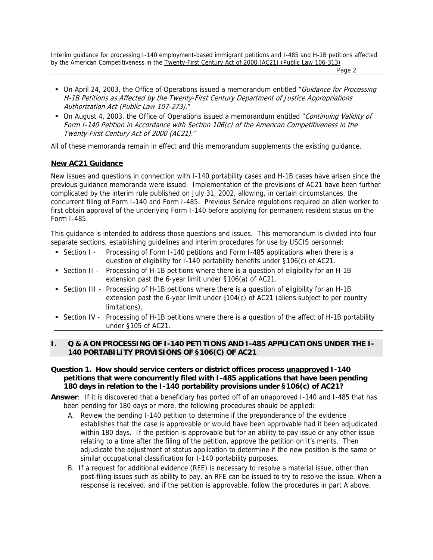Page 2 and 2 and 2 and 2 and 2 and 2 and 2 and 2 and 2 and 2 and 2 and 2 and 2 and 2 and 2 and 2 and 2 and 2 and 2

- On April 24, 2003, the Office of Operations issued a memorandum entitled "Guidance for Processing H-1B Petitions as Affected by the Twenty-First Century Department of Justice Appropriations Authorization Act (Public Law 107-273)."
- On August 4, 2003, the Office of Operations issued a memorandum entitled "Continuing Validity of Form I-140 Petition in Accordance with Section 106(c) of the American Competitiveness in the Twenty-First Century Act of 2000 (AC21)."

All of these memoranda remain in effect and this memorandum supplements the existing guidance.

## **New AC21 Guidance**

New issues and questions in connection with I-140 portability cases and H-1B cases have arisen since the previous guidance memoranda were issued. Implementation of the provisions of AC21 have been further complicated by the interim rule published on July 31, 2002, allowing, in certain circumstances, the concurrent filing of Form I-140 and Form I-485. Previous Service regulations required an alien worker to first obtain approval of the underlying Form I-140 before applying for permanent resident status on the Form I-485.

This guidance is intended to address those questions and issues. This memorandum is divided into four separate sections, establishing guidelines and interim procedures for use by USCIS personnel:

- Section I Processing of Form I-140 petitions and Form I-485 applications when there is a question of eligibility for I-140 portability benefits under §106(c) of AC21.
- Section II Processing of H-1B petitions where there is a question of eligibility for an H-1B extension past the 6-year limit under §106(a) of AC21.
- Section III Processing of H-1B petitions where there is a question of eligibility for an H-1B extension past the 6-year limit under §104(c) of AC21 (aliens subject to per country limitations).
- Section IV Processing of H-1B petitions where there is a question of the affect of H-1B portability under §105 of AC21.

## **I. Q & A ON PROCESSING OF I-140 PETITIONS AND I-485 APPLICATIONS UNDER THE I-140 PORTABILITY PROVISIONS OF §106(C) OF AC21**

## **Question 1. How should service centers or district offices process unapproved I-140 petitions that were concurrently filed with I-485 applications that have been pending 180 days in relation to the I-140 portability provisions under §106(c) of AC21?**

- **Answer**: If it is discovered that a beneficiary has ported off of an unapproved I-140 and I-485 that has been pending for 180 days or more, the following procedures should be applied:
	- A. Review the pending I-140 petition to determine if the preponderance of the evidence establishes that the case is approvable or would have been approvable had it been adjudicated within 180 days. If the petition is approvable but for an ability to pay issue or any other issue relating to a time after the filing of the petition, approve the petition on it's merits. Then adjudicate the adjustment of status application to determine if the new position is the same or similar occupational classification for I-140 portability purposes.
	- B. If a request for additional evidence (RFE) is necessary to resolve a material issue, other than post-filing issues such as ability to pay, an RFE can be issued to try to resolve the issue. When a response is received, and if the petition is approvable, follow the procedures in part A above.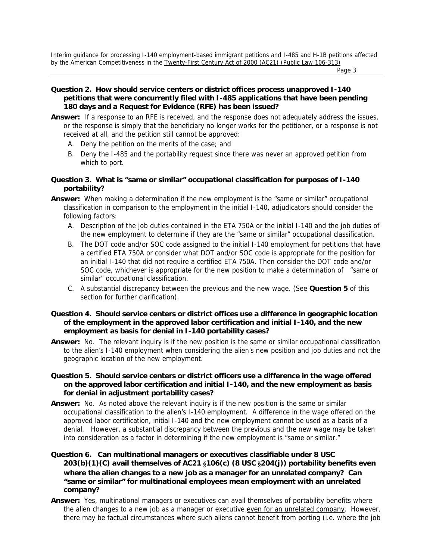Page 3 and 2012 and 2012 and 2012 and 2012 and 2012 and 2012 and 2012 and 2012 and 2012 and 2012 and 2012 and

### **Question 2. How should service centers or district offices process unapproved I-140 petitions that were concurrently filed with I-485 applications that have been pending 180 days and a Request for Evidence (RFE) has been issued?**

- **Answer:** If a response to an RFE is received, and the response does not adequately address the issues, or the response is simply that the beneficiary no longer works for the petitioner, or a response is not received at all, and the petition still cannot be approved:
	- A. Deny the petition on the merits of the case; and
	- B. Deny the I-485 and the portability request since there was never an approved petition from which to port.

### **Question 3. What is "same or similar" occupational classification for purposes of I-140 portability?**

- **Answer:** When making a determination if the new employment is the "same or similar" occupational classification in comparison to the employment in the initial I-140, adjudicators should consider the following factors:
	- A. Description of the job duties contained in the ETA 750A or the initial I-140 and the job duties of the new employment to determine if they are the "same or similar" occupational classification.
	- B. The DOT code and/or SOC code assigned to the initial I-140 employment for petitions that have a certified ETA 750A or consider what DOT and/or SOC code is appropriate for the position for an initial I-140 that did not require a certified ETA 750A. Then consider the DOT code and/or SOC code, whichever is appropriate for the new position to make a determination of "same or similar" occupational classification.
	- C. A substantial discrepancy between the previous and the new wage. (See **Question 5** of this section for further clarification).

#### **Question 4. Should service centers or district offices use a difference in geographic location of the employment in the approved labor certification and initial I-140, and the new employment as basis for denial in I-140 portability cases?**

**Answer:** No. The relevant inquiry is if the new position is the same or similar occupational classification to the alien's I-140 employment when considering the alien's new position and job duties and not the geographic location of the new employment.

#### **Question 5. Should service centers or district officers use a difference in the wage offered on the approved labor certification and initial I-140, and the new employment as basis for denial in adjustment portability cases?**

**Answer:** No. As noted above the relevant inquiry is if the new position is the same or similar occupational classification to the alien's I-140 employment. A difference in the wage offered on the approved labor certification, initial I-140 and the new employment cannot be used as a basis of a denial. However, a substantial discrepancy between the previous and the new wage may be taken into consideration as a factor in determining if the new employment is "same or similar."

## **Question 6. Can multinational managers or executives classifiable under 8 USC 203(b)(1)(C) avail themselves of AC21** §**106(c) (8 USC** §**204(j)) portability benefits even where the alien changes to a new job as a manager for an unrelated company? Can "same or similar" for multinational employees mean employment with an unrelated company?**

**Answer:** Yes, multinational managers or executives can avail themselves of portability benefits where the alien changes to a new job as a manager or executive even for an unrelated company. However, there may be factual circumstances where such aliens cannot benefit from porting (i.e. where the job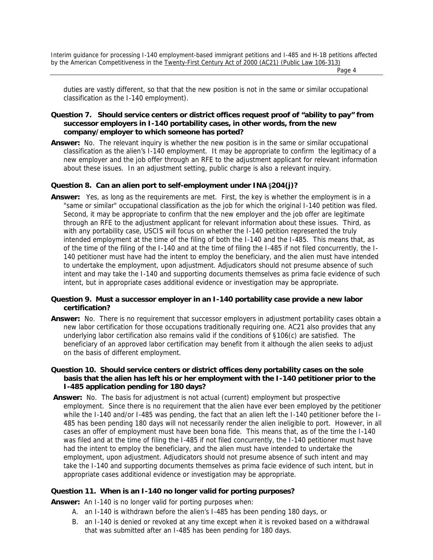Page 4 and the state of the state of the state of the state of the state of the state of the state of the state of the state of the state of the state of the state of the state of the state of the state of the state of the

duties are vastly different, so that that the new position is not in the same or similar occupational classification as the I-140 employment).

#### **Question 7. Should service centers or district offices request proof of "ability to pay" from successor employers in I-140 portability cases, in other words, from the new company/employer to which someone has ported?**

**Answer:** No. The relevant inquiry is whether the new position is in the same or similar occupational classification as the alien's I-140 employment. It may be appropriate to confirm the legitimacy of a new employer and the job offer through an RFE to the adjustment applicant for relevant information about these issues. In an adjustment setting, public charge is also a relevant inquiry.

## **Question 8. Can an alien port to self-employment under INA** §**204(j)?**

**Answer:** Yes, as long as the requirements are met. First, the key is whether the employment is in a "same or similar" occupational classification as the job for which the original I-140 petition was filed. Second, it may be appropriate to confirm that the new employer and the job offer are legitimate through an RFE to the adjustment applicant for relevant information about these issues. Third, as with any portability case, USCIS will focus on whether the I-140 petition represented the truly intended employment at the time of the filing of both the I-140 and the I-485. This means that, as of the time of the filing of the I-140 and at the time of filing the I-485 if not filed concurrently, the I-140 petitioner must have had the intent to employ the beneficiary, and the alien must have intended to undertake the employment, upon adjustment. Adjudicators should not presume absence of such intent and may take the I-140 and supporting documents themselves as prima facie evidence of such intent, but in appropriate cases additional evidence or investigation may be appropriate.

### **Question 9. Must a successor employer in an I-140 portability case provide a new labor certification?**

- **Answer:** No. There is no requirement that successor employers in adjustment portability cases obtain a new labor certification for those occupations traditionally requiring one. AC21 also provides that any underlying labor certification also remains valid if the conditions of §106(c) are satisfied. The beneficiary of an approved labor certification may benefit from it although the alien seeks to adjust on the basis of different employment.
- **Question 10. Should service centers or district offices deny portability cases on the sole basis that the alien has left his or her employment with the I-140 petitioner prior to the I-485 application pending for 180 days?**
- **Answer:** No. The basis for adjustment is not actual (current) employment but prospective employment. Since there is no requirement that the alien have ever been employed by the petitioner while the I-140 and/or I-485 was pending, the fact that an alien left the I-140 petitioner before the I-485 has been pending 180 days will not necessarily render the alien ineligible to port. However, in all cases an offer of employment must have been bona fide. This means that, as of the time the I-140 was filed and at the time of filing the I-485 if not filed concurrently, the I-140 petitioner must have had the intent to employ the beneficiary, and the alien must have intended to undertake the employment, upon adjustment. Adjudicators should not presume absence of such intent and may take the I-140 and supporting documents themselves as prima facie evidence of such intent, but in appropriate cases additional evidence or investigation may be appropriate.

#### **Question 11. When is an I-140 no longer valid for porting purposes?**

**Answer:** An I-140 is no longer valid for porting purposes when:

- A. an I-140 is withdrawn before the alien's I-485 has been pending 180 days, or
- B. an I-140 is denied or revoked at any time except when it is revoked based on a withdrawal that was submitted after an I-485 has been pending for 180 days.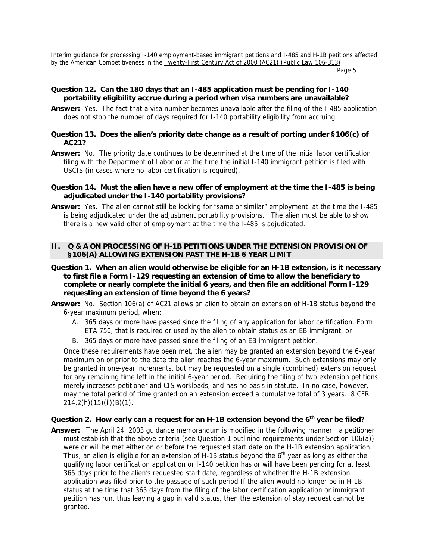Page 5 and the state of the state of the state of the state of the state of the state of the state of the state of the state of the state of the state of the state of the state of the state of the state of the state of the

#### **Question 12. Can the 180 days that an I-485 application must be pending for I-140 portability eligibility accrue during a period when visa numbers are unavailable?**

**Answer:** Yes. The fact that a visa number becomes unavailable after the filing of the I-485 application does not stop the number of days required for I-140 portability eligibility from accruing.

#### **Question 13. Does the alien's priority date change as a result of porting under §106(c) of AC21?**

**Answer:** No. The priority date continues to be determined at the time of the initial labor certification filing with the Department of Labor or at the time the initial I-140 immigrant petition is filed with USCIS (in cases where no labor certification is required).

#### **Question 14. Must the alien have a new offer of employment at the time the I-485 is being adjudicated under the I-140 portability provisions?**

**Answer:** Yes. The alien cannot still be looking for "same or similar" employment at the time the I-485 is being adjudicated under the adjustment portability provisions. The alien must be able to show there is a new valid offer of employment at the time the I-485 is adjudicated.

#### **II. Q & A ON PROCESSING OF H-1B PETITIONS UNDER THE EXTENSION PROVISION OF §106(A) ALLOWING EXTENSION PAST THE H-1B 6 YEAR LIMIT**

- **Question 1. When an alien would otherwise be eligible for an H-1B extension, is it necessary to first file a Form I-129 requesting an extension of time to allow the beneficiary to complete or nearly complete the initial 6 years, and then file an additional Form I-129 requesting an extension of time beyond the 6 years?**
- **Answer:** No. Section 106(a) of AC21 allows an alien to obtain an extension of H-1B status beyond the 6-year maximum period, when:
	- A. 365 days or more have passed since the filing of any application for labor certification, Form ETA 750, that is required or used by the alien to obtain status as an EB immigrant, or
	- B. 365 days or more have passed since the filing of an EB immigrant petition.

Once these requirements have been met, the alien may be granted an extension beyond the 6-year maximum on or prior to the date the alien reaches the 6-year maximum. Such extensions may only be granted in one-year increments, but may be requested on a single (combined) extension request for any remaining time left in the initial 6-year period. Requiring the filing of two extension petitions merely increases petitioner and CIS workloads, and has no basis in statute. In no case, however, may the total period of time granted on an extension exceed a cumulative total of 3 years. 8 CFR 214.2(h)(15)(ii)(B)(1).

## Question 2. How early can a request for an H-1B extension beyond the 6<sup>th</sup> year be filed?

**Answer:** The April 24, 2003 guidance memorandum is modified in the following manner: a petitioner must establish that the above criteria (see Question 1 outlining requirements under Section 106(a)) were or will be met either on or before the requested start date on the H-1B extension application. Thus, an alien is eligible for an extension of H-1B status beyond the  $6<sup>th</sup>$  year as long as either the qualifying labor certification application or I-140 petition has or will have been pending for at least 365 days prior to the alien's requested start date, regardless of whether the H-1B extension application was filed prior to the passage of such period If the alien would no longer be in H-1B status at the time that 365 days from the filing of the labor certification application or immigrant petition has run, thus leaving a gap in valid status, then the extension of stay request cannot be granted.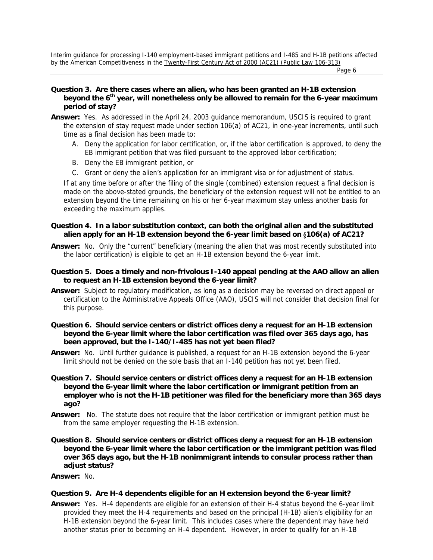Page 6 and the contract of the contract of the contract of the contract of the contract of the contract of the contract of the contract of the contract of the contract of the contract of the contract of the contract of the

- **Question 3. Are there cases where an alien, who has been granted an H-1B extension**  beyond the 6<sup>th</sup> year, will nonetheless only be allowed to remain for the 6-year maximum **period of stay?**
- **Answer:** Yes. As addressed in the April 24, 2003 guidance memorandum, USCIS is required to grant the extension of stay request made under section 106(a) of AC21, in one-year increments, until such time as a final decision has been made to:
	- A. Deny the application for labor certification, or, if the labor certification is approved, to deny the EB immigrant petition that was filed pursuant to the approved labor certification;
	- B. Deny the EB immigrant petition, or
	- C. Grant or deny the alien's application for an immigrant visa or for adjustment of status.

If at any time before or after the filing of the single (combined) extension request a final decision is made on the above-stated grounds, the beneficiary of the extension request will not be entitled to an extension beyond the time remaining on his or her 6-year maximum stay unless another basis for exceeding the maximum applies.

#### **Question 4. In a labor substitution context, can both the original alien and the substituted alien apply for an H-1B extension beyond the 6-year limit based on** §**106(a) of AC21?**

**Answer:** No. Only the "current" beneficiary (meaning the alien that was most recently substituted into the labor certification) is eligible to get an H-1B extension beyond the 6-year limit.

#### **Question 5. Does a timely and non-frivolous I-140 appeal pending at the AAO allow an alien to request an H-1B extension beyond the 6-year limit?**

- **Answer:** Subject to regulatory modification, as long as a decision may be reversed on direct appeal or certification to the Administrative Appeals Office (AAO), USCIS will not consider that decision final for this purpose.
- **Question 6. Should service centers or district offices deny a request for an H-1B extension beyond the 6-year limit where the labor certification was filed over 365 days ago, has been approved, but the I-140/I-485 has not yet been filed?**
- **Answer:** No. Until further guidance is published, a request for an H-1B extension beyond the 6-year limit should not be denied on the sole basis that an I-140 petition has not yet been filed.
- **Question 7. Should service centers or district offices deny a request for an H-1B extension beyond the 6-year limit where the labor certification or immigrant petition from an employer who is not the H-1B petitioner was filed for the beneficiary more than 365 days ago?**
- **Answer:** No. The statute does not require that the labor certification or immigrant petition must be from the same employer requesting the H-1B extension.
- **Question 8. Should service centers or district offices deny a request for an H-1B extension beyond the 6-year limit where the labor certification or the immigrant petition was filed over 365 days ago, but the H-1B nonimmigrant intends to consular process rather than adjust status?**

**Answer:** No.

#### **Question 9. Are H-4 dependents eligible for an H extension beyond the 6-year limit?**

**Answer:** Yes. H-4 dependents are eligible for an extension of their H-4 status beyond the 6-year limit provided they meet the H-4 requirements and based on the principal (H-1B) alien's eligibility for an H-1B extension beyond the 6-year limit. This includes cases where the dependent may have held another status prior to becoming an H-4 dependent. However, in order to qualify for an H-1B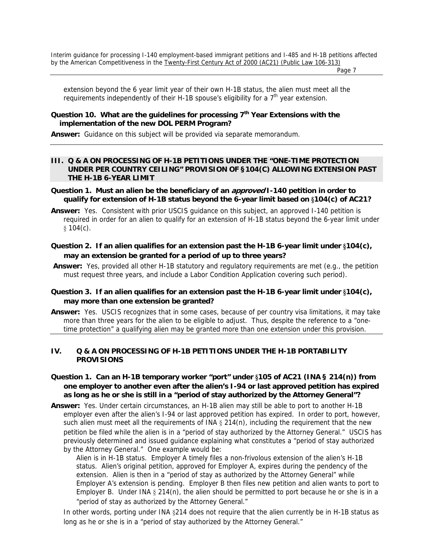Page 7 (1999) 2002 12:30 Page 7 (1999) 2003 12:30 Page 7 (1999) 2004 12:30 Page 7

extension beyond the 6 year limit year of their own H-1B status, the alien must meet all the requirements independently of their H-1B spouse's eligibility for a  $7<sup>th</sup>$  year extension.

#### **Question 10. What are the guidelines for processing 7th Year Extensions with the implementation of the new DOL PERM Program?**

**Answer:** Guidance on this subject will be provided via separate memorandum.

#### **III. Q & A ON PROCESSING OF H-1B PETITIONS UNDER THE "ONE-TIME PROTECTION UNDER PER COUNTRY CEILING" PROVISION OF §104(C) ALLOWING EXTENSION PAST THE H-1B 6-YEAR LIMIT**

- **Question 1. Must an alien be the beneficiary of an approved I-140 petition in order to qualify for extension of H-1B status beyond the 6-year limit based on** §**104(c) of AC21?**
- **Answer:** Yes. Consistent with prior USCIS guidance on this subject, an approved I-140 petition is required in order for an alien to qualify for an extension of H-1B status beyond the 6-year limit under  $$104(c).$
- **Question 2. If an alien qualifies for an extension past the H-1B 6-year limit under** §**104(c), may an extension be granted for a period of up to three years?**
- **Answer:** Yes, provided all other H-1B statutory and regulatory requirements are met (e.g., the petition must request three years, and include a Labor Condition Application covering such period).

## **Question 3. If an alien qualifies for an extension past the H-1B 6-year limit under** §**104(c), may more than one extension be granted?**

**Answer:** Yes. USCIS recognizes that in some cases, because of per country visa limitations, it may take more than three years for the alien to be eligible to adjust. Thus, despite the reference to a "onetime protection" a qualifying alien may be granted more than one extension under this provision.

#### **IV. Q & A ON PROCESSING OF H-1B PETITIONS UNDER THE H-1B PORTABILITY PROVISIONS**

- **Question 1. Can an H-1B temporary worker "port" under** §**105 of AC21 (INA § 214(n)) from one employer to another even after the alien's I-94 or last approved petition has expired as long as he or she is still in a "period of stay authorized by the Attorney General"?**
- **Answer:** Yes. Under certain circumstances, an H-1B alien may still be able to port to another H-1B employer even after the alien's I-94 or last approved petition has expired. In order to port, however, such alien must meet all the requirements of INA  $\S 214(n)$ , including the requirement that the new petition be filed while the alien is in a "period of stay authorized by the Attorney General." USCIS has previously determined and issued guidance explaining what constitutes a "period of stay authorized by the Attorney General." One example would be:
	- Alien is in H-1B status. Employer A timely files a non-frivolous extension of the alien's H-1B status. Alien's original petition, approved for Employer A, expires during the pendency of the extension. Alien is then in a "period of stay as authorized by the Attorney General" while Employer A's extension is pending. Employer B then files new petition and alien wants to port to Employer B. Under INA  $\S 214(n)$ , the alien should be permitted to port because he or she is in a "period of stay as authorized by the Attorney General."

In other words, porting under INA §214 does not require that the alien currently be in H-1B status as long as he or she is in a "period of stay authorized by the Attorney General."